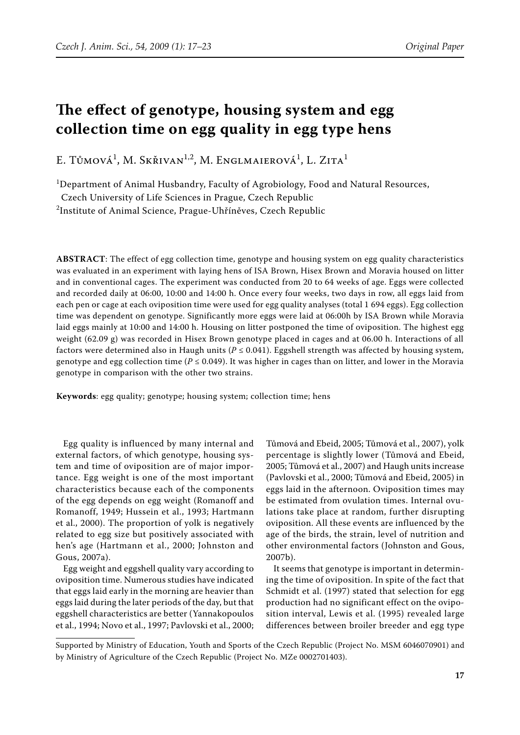# **The effect of genotype, housing system and egg collection time on egg quality in egg type hens**

E. Tůmová<sup>1</sup>, M. Skřivan<sup>1,2</sup>, M. Englmaierová<sup>1</sup>, L. Zita<sup>1</sup>

1 Department of Animal Husbandry, Faculty of Agrobiology, Food and Natural Resources,

Czech University of Life Sciences in Prague, Czech Republic

2 Institute of Animal Science, Prague-Uhříněves, Czech Republic

**ABSTRACT**: The effect of egg collection time, genotype and housing system on egg quality characteristics was evaluated in an experiment with laying hens of ISA Brown, Hisex Brown and Moravia housed on litter and in conventional cages. The experiment was conducted from 20 to 64 weeks of age. Eggs were collected and recorded daily at 06:00, 10:00 and 14:00 h. Once every four weeks, two days in row, all eggs laid from each pen or cage at each oviposition time were used for egg quality analyses (total 1 694 eggs). Egg collection time was dependent on genotype. Significantly more eggs were laid at 06:00h by ISA Brown while Moravia laid eggs mainly at 10:00 and 14:00 h. Housing on litter postponed the time of oviposition. The highest egg weight (62.09 g) was recorded in Hisex Brown genotype placed in cages and at 06.00 h. Interactions of all factors were determined also in Haugh units ( $P \le 0.041$ ). Eggshell strength was affected by housing system, genotype and egg collection time ( $P \le 0.049$ ). It was higher in cages than on litter, and lower in the Moravia genotype in comparison with the other two strains.

**Keywords**: egg quality; genotype; housing system; collection time; hens

Egg quality is influenced by many internal and external factors, of which genotype, housing system and time of oviposition are of major importance. Egg weight is one of the most important characteristics because each of the components of the egg depends on egg weight (Romanoff and Romanoff, 1949; Hussein et al., 1993; Hartmann et al., 2000). The proportion of yolk is negatively related to egg size but positively associated with hen's age (Hartmann et al., 2000; Johnston and Gous, 2007a).

Egg weight and eggshell quality vary according to oviposition time. Numerous studies have indicated that eggs laid early in the morning are heavier than eggs laid during the later periods of the day, but that eggshell characteristics are better (Yannakopoulos et al., 1994; Novo et al., 1997; Pavlovski et al., 2000;

Tůmová and Ebeid, 2005; Tůmová et al., 2007), yolk percentage is slightly lower (Tůmová and Ebeid, 2005; Tůmová et al., 2007) and Haugh units increase (Pavlovski et al., 2000; Tůmová and Ebeid, 2005) in eggs laid in the afternoon. Oviposition times may be estimated from ovulation times. Internal ovulations take place at random, further disrupting oviposition. All these events are influenced by the age of the birds, the strain, level of nutrition and other environmental factors (Johnston and Gous, 2007b).

It seems that genotype is important in determining the time of oviposition. In spite of the fact that Schmidt et al. (1997) stated that selection for egg production had no significant effect on the oviposition interval, Lewis et al. (1995) revealed large differences between broiler breeder and egg type

Supported by Ministry of Education, Youth and Sports of the Czech Republic (Project No. MSM 6046070901) and by Ministry of Agriculture of the Czech Republic (Project No. MZe 0002701403).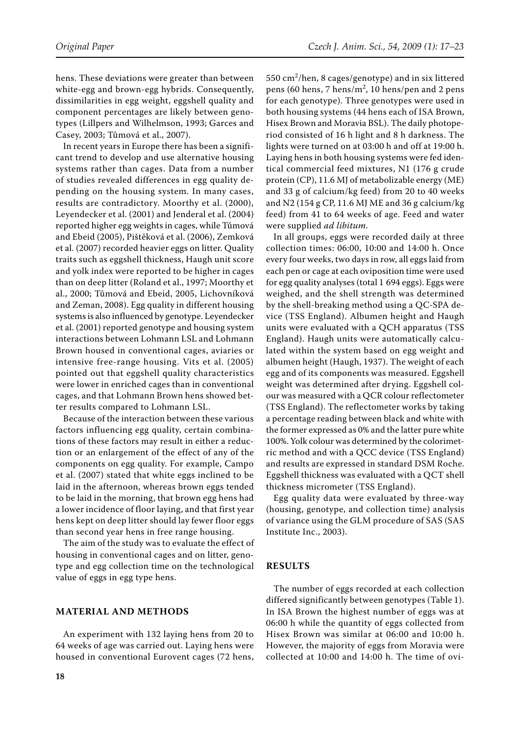hens. These deviations were greater than between white-egg and brown-egg hybrids. Consequently, dissimilarities in egg weight, eggshell quality and component percentages are likely between genotypes (Lillpers and Wilhelmson, 1993; Garces and Casey, 2003; Tůmová et al., 2007).

In recent years in Europe there has been a significant trend to develop and use alternative housing systems rather than cages. Data from a number of studies revealed differences in egg quality depending on the housing system. In many cases, results are contradictory. Moorthy et al. (2000), Leyendecker et al. (2001) and Jenderal et al. (2004) reported higher egg weights in cages, while Tůmová and Ebeid (2005), Pištěková et al. (2006), Zemková et al. (2007) recorded heavier eggs on litter. Quality traits such as eggshell thickness, Haugh unit score and yolk index were reported to be higher in cages than on deep litter (Roland et al., 1997; Moorthy et al., 2000; Tůmová and Ebeid, 2005, Lichovníková and Zeman, 2008). Egg quality in different housing systems is also influenced by genotype. Leyendecker et al. (2001) reported genotype and housing system interactions between Lohmann LSL and Lohmann Brown housed in conventional cages, aviaries or intensive free-range housing. Vits et al. (2005) pointed out that eggshell quality characteristics were lower in enriched cages than in conventional cages, and that Lohmann brown hens showed better results compared to Lohmann LSL.

Because of the interaction between these various factors influencing egg quality, certain combinations of these factors may result in either a reduction or an enlargement of the effect of any of the components on egg quality. For example, Campo et al. (2007) stated that white eggs inclined to be laid in the afternoon, whereas brown eggs tended to be laid in the morning, that brown egg hens had a lower incidence of floor laying, and that first year hens kept on deep litter should lay fewer floor eggs than second year hens in free range housing.

The aim of the study was to evaluate the effect of housing in conventional cages and on litter, genotype and egg collection time on the technological value of eggs in egg type hens.

## **MATERIAL AND METHODS**

An experiment with 132 laying hens from 20 to 64 weeks of age was carried out. Laying hens were housed in conventional Eurovent cages (72 hens,

550 cm<sup>2</sup> /hen, 8 cages/genotype) and in six littered pens (60 hens, 7 hens/m<sup>2</sup>, 10 hens/pen and 2 pens for each genotype). Three genotypes were used in both housing systems (44 hens each of ISA Brown, Hisex Brown and Moravia BSL). The daily photoperiod consisted of 16 h light and 8 h darkness. The lights were turned on at 03:00 h and off at 19:00 h. Laying hens in both housing systems were fed identical commercial feed mixtures, N1 (176 g crude protein (CP), 11.6 MJ of metabolizable energy (ME) and 33 g of calcium/kg feed) from 20 to 40 weeks and N2 (154 g CP, 11.6 MJ ME and 36 g calcium/kg feed) from 41 to 64 weeks of age. Feed and water were supplied *ad libitum*.

In all groups, eggs were recorded daily at three collection times: 06:00, 10:00 and 14:00 h. Once every four weeks, two days in row, all eggs laid from each pen or cage at each oviposition time were used for egg quality analyses (total 1 694 eggs). Eggs were weighed, and the shell strength was determined by the shell-breaking method using a QC-SPA device (TSS England). Albumen height and Haugh units were evaluated with a QCH apparatus (TSS England). Haugh units were automatically calculated within the system based on egg weight and albumen height (Haugh, 1937). The weight of each egg and of its components was measured. Eggshell weight was determined after drying. Eggshell colour was measured with a QCR colour reflectometer (TSS England). The reflectometer works by taking a percentage reading between black and white with the former expressed as 0% and the latter pure white 100%. Yolk colour was determined by the colorimetric method and with a QCC device (TSS England) and results are expressed in standard DSM Roche. Eggshell thickness was evaluated with a QCT shell thickness micrometer (TSS England).

Egg quality data were evaluated by three-way (housing, genotype, and collection time) analysis of variance using the GLM procedure of SAS (SAS Institute Inc., 2003).

#### **RESULTS**

The number of eggs recorded at each collection differed significantly between genotypes (Table 1). In ISA Brown the highest number of eggs was at 06:00 h while the quantity of eggs collected from Hisex Brown was similar at 06:00 and 10:00 h. However, the majority of eggs from Moravia were collected at 10:00 and 14:00 h. The time of ovi-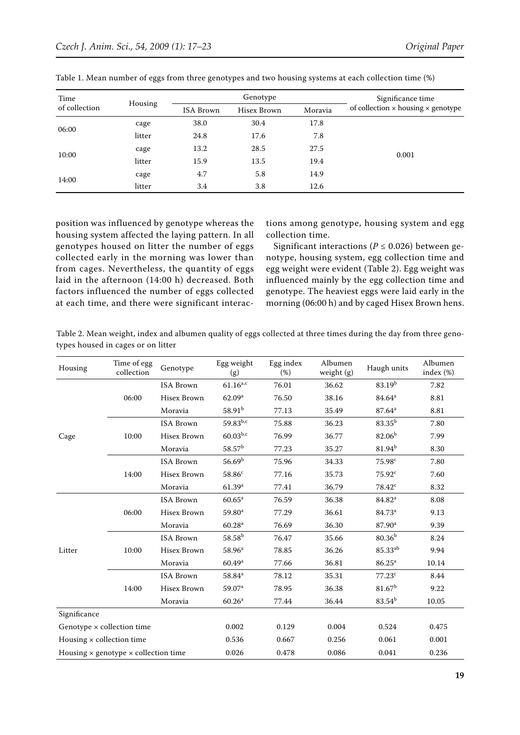| Time          | Housing |                  | Genotype    | Significance time |                                    |
|---------------|---------|------------------|-------------|-------------------|------------------------------------|
| of collection |         | <b>ISA Brown</b> | Hisex Brown | Moravia           | of collection x housing x genotype |
| 06:00         | cage    | 38.0             | 30.4        | 17.8              |                                    |
|               | litter  | 24.8             | 17.6        | 7.8               |                                    |
| 10:00         | cage    | 13.2             | 28.5        | 27.5              |                                    |
|               | litter  | 15.9             | 13.5        | 19.4              | 0.001                              |
| 14:00         | cage    | 4.7              | 5.8         | 14.9              |                                    |
|               | litter  | 3.4              | 3.8         | 12.6              |                                    |

Table 1. Mean number of eggs from three genotypes and two housing systems at each collection time (%)

position was influenced by genotype whereas the housing system affected the laying pattern. In all genotypes housed on litter the number of eggs collected early in the morning was lower than from cages. Nevertheless, the quantity of eggs laid in the afternoon (14:00 h) decreased. Both factors influenced the number of eggs collected at each time, and there were significant interactions among genotype, housing system and egg collection time.

Significant interactions ( $P \le 0.026$ ) between genotype, housing system, egg collection time and egg weight were evident (Table 2). Egg weight was influenced mainly by the egg collection time and genotype. The heaviest eggs were laid early in the morning (06:00 h) and by caged Hisex Brown hens.

Table 2. Mean weight, index and albumen quality of eggs collected at three times during the day from three genotypes housed in cages or on litter

| Housing                                            | Time of egg<br>collection | Genotype           | Egg weight<br>(g)  | Egg index<br>(%) | Albumen<br>weight $(g)$ | Haugh units         | Albumen<br>index (%) |
|----------------------------------------------------|---------------------------|--------------------|--------------------|------------------|-------------------------|---------------------|----------------------|
| Cage                                               | 06:00                     | <b>ISA Brown</b>   | $61.16^{a,c}$      | 76.01            | 36.62                   | 83.19 <sup>b</sup>  | 7.82                 |
|                                                    |                           | Hisex Brown        | 62.09 <sup>a</sup> | 76.50            | 38.16                   | $84.64^a$           | 8.81                 |
|                                                    |                           | Moravia            | $58.91^{b}$        | 77.13            | 35.49                   | $87.64^{\rm a}$     | 8.81                 |
|                                                    |                           | <b>ISA Brown</b>   | 59.83b,c           | 75.88            | 36.23                   | $83.35^{b}$         | 7.80                 |
|                                                    | 10:00                     | <b>Hisex Brown</b> | $60.03^{b,c}$      | 76.99            | 36.77                   | 82.06 <sup>b</sup>  | 7.99                 |
|                                                    |                           | Moravia            | $58.57^{\rm b}$    | 77.23            | 35.27                   | $81.94^{b}$         | 8.30                 |
|                                                    |                           | <b>ISA Brown</b>   | 56.69 <sup>b</sup> | 75.96            | 34.33                   | 75.98 <sup>c</sup>  | 7.80                 |
|                                                    | 14:00                     | Hisex Brown        | $58.86^c$          | 77.16            | 35.73                   | $75.92^c$           | 7.60                 |
|                                                    |                           | Moravia            | 61.39 <sup>a</sup> | 77.41            | 36.79                   | $78.42^c$           | 8.32                 |
| Litter                                             | 06:00                     | <b>ISA Brown</b>   | $60.65^{\rm a}$    | 76.59            | 36.38                   | 84.82 <sup>a</sup>  | 8.08                 |
|                                                    |                           | Hisex Brown        | 59.80 <sup>a</sup> | 77.29            | 36.61                   | 84.73ª              | 9.13                 |
|                                                    |                           | Moravia            | 60.28 <sup>a</sup> | 76.69            | 36.30                   | 87.90 <sup>a</sup>  | 9.39                 |
|                                                    | 10:00                     | <b>ISA Brown</b>   | $58.58^{b}$        | 76.47            | 35.66                   | $80.36^{b}$         | 8.24                 |
|                                                    |                           | Hisex Brown        | 58.96 <sup>a</sup> | 78.85            | 36.26                   | 85.33 <sup>ab</sup> | 9.94                 |
|                                                    |                           | Moravia            | 60.49 <sup>a</sup> | 77.66            | 36.81                   | $86.25^a$           | 10.14                |
|                                                    | 14:00                     | <b>ISA Brown</b>   | 58.84 <sup>a</sup> | 78.12            | 35.31                   | 77.23 <sup>c</sup>  | 8.44                 |
|                                                    |                           | Hisex Brown        | 59.07 <sup>a</sup> | 78.95            | 36.38                   | 81.67 <sup>b</sup>  | 9.22                 |
|                                                    |                           | Moravia            | 60.26 <sup>a</sup> | 77.44            | 36.44                   | $83.54^{b}$         | 10.05                |
| Significance                                       |                           |                    |                    |                  |                         |                     |                      |
| Genotype × collection time                         |                           |                    | 0.002              | 0.129            | 0.004                   | 0.524               | 0.475                |
| Housing $\times$ collection time                   |                           |                    | 0.536              | 0.667            | 0.256                   | 0.061               | 0.001                |
| Housing $\times$ genotype $\times$ collection time |                           |                    | 0.026              | 0.478            | 0.086                   | 0.041               | 0.236                |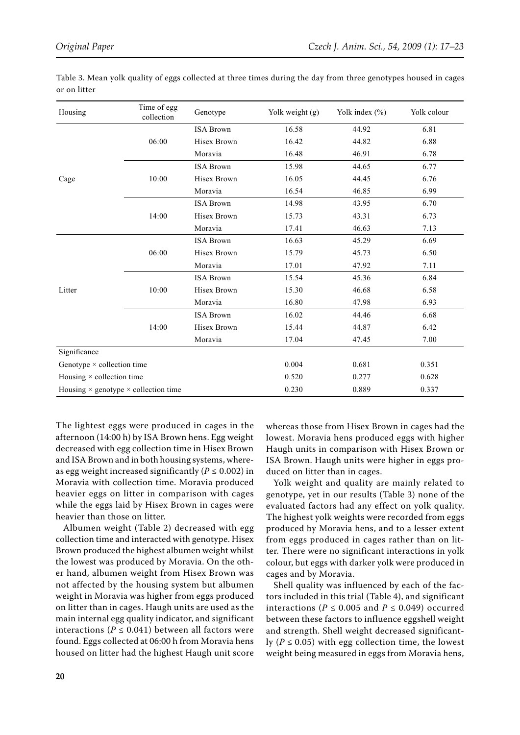| Housing                                            | Time of egg<br>collection | Genotype           | Yolk weight (g) | Yolk index $(\% )$ | Yolk colour |
|----------------------------------------------------|---------------------------|--------------------|-----------------|--------------------|-------------|
|                                                    |                           | <b>ISA Brown</b>   | 16.58           | 44.92              | 6.81        |
|                                                    | 06:00                     | <b>Hisex Brown</b> | 16.42           | 44.82              | 6.88        |
|                                                    |                           | Moravia            | 16.48           | 46.91              | 6.78        |
|                                                    |                           | <b>ISA Brown</b>   | 15.98           | 44.65              | 6.77        |
| Cage                                               | 10:00                     | Hisex Brown        | 16.05           | 44.45              | 6.76        |
|                                                    |                           | Moravia            | 16.54           | 46.85              | 6.99        |
|                                                    |                           | <b>ISA Brown</b>   | 14.98           | 43.95              | 6.70        |
|                                                    | 14:00                     | Hisex Brown        | 15.73           | 43.31              | 6.73        |
|                                                    |                           | Moravia            | 17.41           | 46.63              | 7.13        |
|                                                    |                           | <b>ISA Brown</b>   | 16.63           | 45.29              | 6.69        |
|                                                    | 06:00                     | Hisex Brown        | 15.79           | 45.73              | 6.50        |
|                                                    |                           | Moravia            | 17.01           | 47.92              | 7.11        |
|                                                    |                           | <b>ISA Brown</b>   | 15.54           | 45.36              | 6.84        |
| Litter                                             | 10:00                     | Hisex Brown        | 15.30           | 46.68              | 6.58        |
|                                                    |                           | Moravia            | 16.80           | 47.98              | 6.93        |
|                                                    |                           | <b>ISA Brown</b>   | 16.02           | 44.46              | 6.68        |
|                                                    | 14:00                     | Hisex Brown        | 15.44           | 44.87              | 6.42        |
|                                                    |                           | Moravia            | 17.04           | 47.45              | 7.00        |
| Significance                                       |                           |                    |                 |                    |             |
| Genotype $\times$ collection time                  |                           |                    | 0.004           | 0.681              | 0.351       |
| Housing × collection time                          |                           |                    | 0.520           | 0.277              | 0.628       |
| Housing $\times$ genotype $\times$ collection time |                           |                    | 0.230           | 0.889              | 0.337       |

Table 3. Mean yolk quality of eggs collected at three times during the day from three genotypes housed in cages or on litter

The lightest eggs were produced in cages in the afternoon (14:00 h) by ISA Brown hens. Egg weight decreased with egg collection time in Hisex Brown and ISA Brown and in both housing systems, whereas egg weight increased significantly ( $P \le 0.002$ ) in Moravia with collection time. Moravia produced heavier eggs on litter in comparison with cages while the eggs laid by Hisex Brown in cages were heavier than those on litter.

Albumen weight (Table 2) decreased with egg collection time and interacted with genotype. Hisex Brown produced the highest albumen weight whilst the lowest was produced by Moravia. On the other hand, albumen weight from Hisex Brown was not affected by the housing system but albumen weight in Moravia was higher from eggs produced on litter than in cages. Haugh units are used as the main internal egg quality indicator, and significant interactions ( $P \le 0.041$ ) between all factors were found. Eggs collected at 06:00 h from Moravia hens housed on litter had the highest Haugh unit score

whereas those from Hisex Brown in cages had the lowest. Moravia hens produced eggs with higher Haugh units in comparison with Hisex Brown or ISA Brown. Haugh units were higher in eggs produced on litter than in cages.

Yolk weight and quality are mainly related to genotype, yet in our results (Table 3) none of the evaluated factors had any effect on yolk quality. The highest yolk weights were recorded from eggs produced by Moravia hens, and to a lesser extent from eggs produced in cages rather than on litter. There were no significant interactions in yolk colour, but eggs with darker yolk were produced in cages and by Moravia.

Shell quality was influenced by each of the factors included in this trial (Table 4), and significant interactions ( $P \le 0.005$  and  $P \le 0.049$ ) occurred between these factors to influence eggshell weight and strength. Shell weight decreased significantly ( $P \le 0.05$ ) with egg collection time, the lowest weight being measured in eggs from Moravia hens,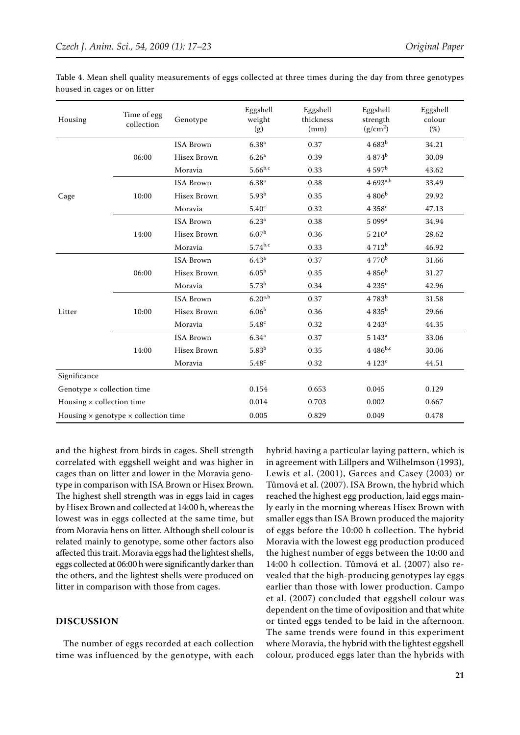| Housing                                            | Time of egg<br>collection | Genotype         | Eggshell<br>weight<br>(g) | Eggshell<br>thickness<br>(mm) | Eggshell<br>strength<br>(g/cm <sup>2</sup> ) | Eggshell<br>colour<br>(%) |
|----------------------------------------------------|---------------------------|------------------|---------------------------|-------------------------------|----------------------------------------------|---------------------------|
|                                                    |                           | <b>ISA Brown</b> | 6.38 <sup>a</sup>         | 0.37                          | $4683^b$                                     | 34.21                     |
|                                                    | 06:00                     | Hisex Brown      | 6.26 <sup>a</sup>         | 0.39                          | $4.874^{b}$                                  | 30.09                     |
|                                                    |                           | Moravia          | $5.66^{b,c}$              | 0.33                          | 4.597 <sup>b</sup>                           | 43.62                     |
|                                                    |                           | <b>ISA Brown</b> | 6.38 <sup>a</sup>         | 0.38                          | $4693^{a,b}$                                 | 33.49                     |
| Cage                                               | 10:00                     | Hisex Brown      | $5.93^{b}$                | 0.35                          | $4806^{\rm b}$                               | 29.92                     |
|                                                    |                           | Moravia          | 5.40 <sup>c</sup>         | 0.32                          | 4358c                                        | 47.13                     |
|                                                    |                           | <b>ISA Brown</b> | 6.23 <sup>a</sup>         | 0.38                          | 5 099 <sup>a</sup>                           | 34.94                     |
|                                                    | 14:00                     | Hisex Brown      | 6.07 <sup>b</sup>         | 0.36                          | $5210^a$                                     | 28.62                     |
|                                                    |                           | Moravia          | $5.74^{b,c}$              | 0.33                          | 4712 <sup>b</sup>                            | 46.92                     |
| Litter                                             |                           | <b>ISA Brown</b> | 6.43 <sup>a</sup>         | 0.37                          | $4770^{\rm b}$                               | 31.66                     |
|                                                    | 06:00                     | Hisex Brown      | 6.05 <sup>b</sup>         | 0.35                          | $4856^{\rm b}$                               | 31.27                     |
|                                                    |                           | Moravia          | $5.73^{b}$                | 0.34                          | 4235c                                        | 42.96                     |
|                                                    | 10:00                     | <b>ISA Brown</b> | $6.20^{a,b}$              | 0.37                          | $4783^b$                                     | 31.58                     |
|                                                    |                           | Hisex Brown      | 6.06 <sup>b</sup>         | 0.36                          | $4835^{\rm b}$                               | 29.66                     |
|                                                    |                           | Moravia          | 5.48c                     | 0.32                          | 4243c                                        | 44.35                     |
|                                                    | 14:00                     | <b>ISA Brown</b> | 6.34 <sup>a</sup>         | 0.37                          | $5\;143^{\rm a}$                             | 33.06                     |
|                                                    |                           | Hisex Brown      | 5.83 <sup>b</sup>         | 0.35                          | $4.486^{b,c}$                                | 30.06                     |
|                                                    |                           | Moravia          | $5.48^{\rm c}$            | 0.32                          | $4123^c$                                     | 44.51                     |
| Significance                                       |                           |                  |                           |                               |                                              |                           |
| Genotype × collection time                         |                           |                  | 0.154                     | 0.653                         | 0.045                                        | 0.129                     |
| Housing $\times$ collection time                   |                           |                  | 0.014                     | 0.703                         | 0.002                                        | 0.667                     |
| Housing $\times$ genotype $\times$ collection time |                           |                  | 0.005                     | 0.829                         | 0.049                                        | 0.478                     |

Table 4. Mean shell quality measurements of eggs collected at three times during the day from three genotypes housed in cages or on litter

and the highest from birds in cages. Shell strength correlated with eggshell weight and was higher in cages than on litter and lower in the Moravia genotype in comparison with ISA Brown or Hisex Brown. The highest shell strength was in eggs laid in cages by Hisex Brown and collected at 14:00 h, whereas the lowest was in eggs collected at the same time, but from Moravia hens on litter. Although shell colour is related mainly to genotype, some other factors also affected this trait. Moravia eggs had the lightest shells, eggs collected at 06:00 h were significantly darker than the others, and the lightest shells were produced on litter in comparison with those from cages.

### **DISCUSSION**

The number of eggs recorded at each collection time was influenced by the genotype, with each hybrid having a particular laying pattern, which is in agreement with Lillpers and Wilhelmson (1993), Lewis et al. (2001), Garces and Casey (2003) or Tůmová et al. (2007). ISA Brown, the hybrid which reached the highest egg production, laid eggs mainly early in the morning whereas Hisex Brown with smaller eggs than ISA Brown produced the majority of eggs before the 10:00 h collection. The hybrid Moravia with the lowest egg production produced the highest number of eggs between the 10:00 and 14:00 h collection. Tůmová et al. (2007) also revealed that the high-producing genotypes lay eggs earlier than those with lower production. Campo et al. (2007) concluded that eggshell colour was dependent on the time of oviposition and that white or tinted eggs tended to be laid in the afternoon. The same trends were found in this experiment where Moravia, the hybrid with the lightest eggshell colour, produced eggs later than the hybrids with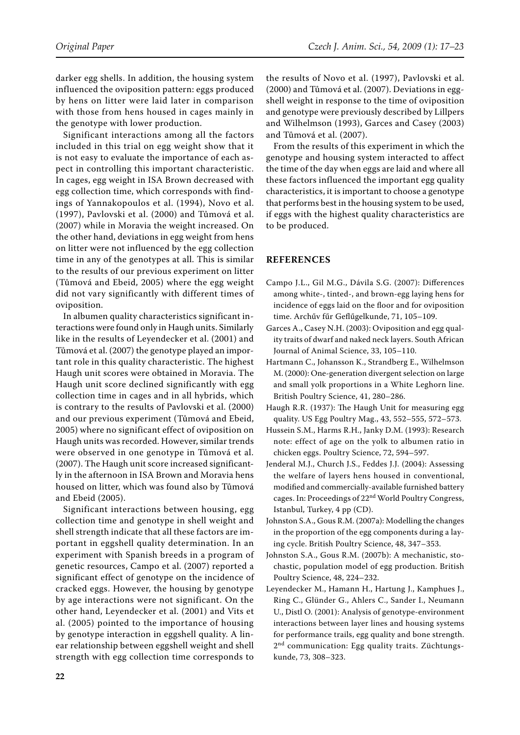darker egg shells. In addition, the housing system influenced the oviposition pattern: eggs produced by hens on litter were laid later in comparison with those from hens housed in cages mainly in the genotype with lower production.

Significant interactions among all the factors included in this trial on egg weight show that it is not easy to evaluate the importance of each aspect in controlling this important characteristic. In cages, egg weight in ISA Brown decreased with egg collection time, which corresponds with findings of Yannakopoulos et al. (1994), Novo et al. (1997), Pavlovski et al. (2000) and Tůmová et al. (2007) while in Moravia the weight increased. On the other hand, deviations in egg weight from hens on litter were not influenced by the egg collection time in any of the genotypes at all. This is similar to the results of our previous experiment on litter (Tůmová and Ebeid, 2005) where the egg weight did not vary significantly with different times of oviposition.

In albumen quality characteristics significant interactions were found only in Haugh units. Similarly like in the results of Leyendecker et al. (2001) and Tůmová et al. (2007) the genotype played an important role in this quality characteristic. The highest Haugh unit scores were obtained in Moravia. The Haugh unit score declined significantly with egg collection time in cages and in all hybrids, which is contrary to the results of Pavlovski et al. (2000) and our previous experiment (Tůmová and Ebeid, 2005) where no significant effect of oviposition on Haugh units was recorded. However, similar trends were observed in one genotype in Tůmová et al. (2007). The Haugh unit score increased significantly in the afternoon in ISA Brown and Moravia hens housed on litter, which was found also by Tůmová and Ebeid (2005).

Significant interactions between housing, egg collection time and genotype in shell weight and shell strength indicate that all these factors are important in eggshell quality determination. In an experiment with Spanish breeds in a program of genetic resources, Campo et al. (2007) reported a significant effect of genotype on the incidence of cracked eggs. However, the housing by genotype by age interactions were not significant. On the other hand, Leyendecker et al. (2001) and Vits et al. (2005) pointed to the importance of housing by genotype interaction in eggshell quality. A linear relationship between eggshell weight and shell strength with egg collection time corresponds to

the results of Novo et al. (1997), Pavlovski et al. (2000) and Tůmová et al. (2007). Deviations in eggshell weight in response to the time of oviposition and genotype were previously described by Lillpers and Wilhelmson (1993), Garces and Casey (2003) and Tůmová et al. (2007).

From the results of this experiment in which the genotype and housing system interacted to affect the time of the day when eggs are laid and where all these factors influenced the important egg quality characteristics, it is important to choose a genotype that performs best in the housing system to be used, if eggs with the highest quality characteristics are to be produced.

# **References**

- Campo J.L., Gil M.G., Dávila S.G. (2007): Differences among white-, tinted-, and brown-egg laying hens for incidence of eggs laid on the floor and for oviposition time. Archűv fűr Geflűgelkunde, 71, 105–109.
- Garces A., Casey N.H. (2003): Oviposition and egg quality traits of dwarf and naked neck layers. South African Journal of Animal Science, 33, 105–110.
- Hartmann C., Johansson K., Strandberg E., Wilhelmson M. (2000): One-generation divergent selection on large and small yolk proportions in a White Leghorn line. British Poultry Science, 41, 280–286.
- Haugh R.R. (1937): The Haugh Unit for measuring egg quality. US Egg Poultry Mag., 43, 552–555, 572–573.
- Hussein S.M., Harms R.H., Janky D.M. (1993): Research note: effect of age on the yolk to albumen ratio in chicken eggs. Poultry Science, 72, 594–597.
- Jenderal M.J., Church J.S., Feddes J.J. (2004): Assessing the welfare of layers hens housed in conventional, modified and commercially-available furnished battery cages. In: Proceedings of 22<sup>nd</sup> World Poultry Congress, Istanbul, Turkey, 4 pp (CD).
- Johnston S.A., Gous R.M. (2007a): Modelling the changes in the proportion of the egg components during a laying cycle. British Poultry Science, 48, 347–353.
- Johnston S.A., Gous R.M. (2007b): A mechanistic, stochastic, population model of egg production. British Poultry Science, 48, 224–232.
- Leyendecker M., Hamann H., Hartung J., Kamphues J., Ring C., Glünder G., Ahlers C., Sander I., Neumann U., Distl O. (2001): Analysis of genotype-environment interactions between layer lines and housing systems for performance trails, egg quality and bone strength. 2<sup>nd</sup> communication: Egg quality traits. Züchtungskunde, 73, 308–323.